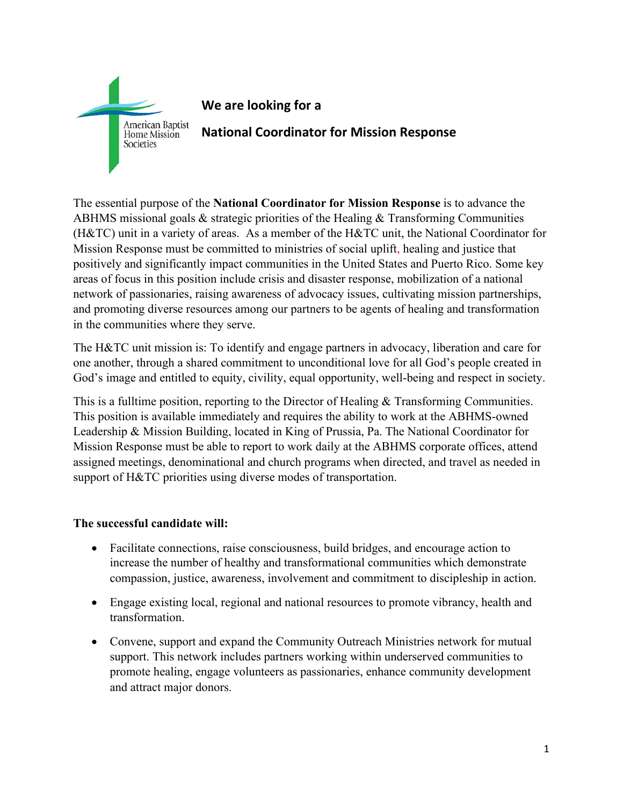

## **We are looking for a**

**National Coordinator for Mission Response**

The essential purpose of the **National Coordinator for Mission Response** is to advance the ABHMS missional goals & strategic priorities of the Healing & Transforming Communities (H&TC) unit in a variety of areas. As a member of the H&TC unit, the National Coordinator for Mission Response must be committed to ministries of social uplift, healing and justice that positively and significantly impact communities in the United States and Puerto Rico. Some key areas of focus in this position include crisis and disaster response, mobilization of a national network of passionaries, raising awareness of advocacy issues, cultivating mission partnerships, and promoting diverse resources among our partners to be agents of healing and transformation in the communities where they serve.

The H&TC unit mission is: To identify and engage partners in advocacy, liberation and care for one another, through a shared commitment to unconditional love for all God's people created in God's image and entitled to equity, civility, equal opportunity, well-being and respect in society.

This is a fulltime position, reporting to the Director of Healing & Transforming Communities. This position is available immediately and requires the ability to work at the ABHMS-owned Leadership & Mission Building, located in King of Prussia, Pa. The National Coordinator for Mission Response must be able to report to work daily at the ABHMS corporate offices, attend assigned meetings, denominational and church programs when directed, and travel as needed in support of H&TC priorities using diverse modes of transportation.

## **The successful candidate will:**

- Facilitate connections, raise consciousness, build bridges, and encourage action to increase the number of healthy and transformational communities which demonstrate compassion, justice, awareness, involvement and commitment to discipleship in action.
- Engage existing local, regional and national resources to promote vibrancy, health and transformation.
- Convene, support and expand the Community Outreach Ministries network for mutual support. This network includes partners working within underserved communities to promote healing, engage volunteers as passionaries, enhance community development and attract major donors.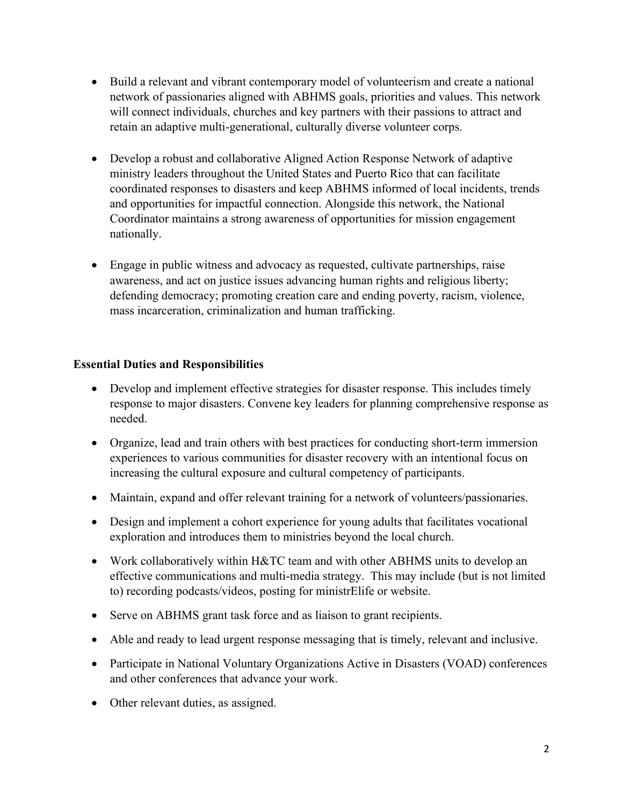- Build a relevant and vibrant contemporary model of volunteerism and create a national network of passionaries aligned with ABHMS goals, priorities and values. This network will connect individuals, churches and key partners with their passions to attract and retain an adaptive multi-generational, culturally diverse volunteer corps.
- Develop a robust and collaborative Aligned Action Response Network of adaptive ministry leaders throughout the United States and Puerto Rico that can facilitate coordinated responses to disasters and keep ABHMS informed of local incidents, trends and opportunities for impactful connection. Alongside this network, the National Coordinator maintains a strong awareness of opportunities for mission engagement nationally.
- Engage in public witness and advocacy as requested, cultivate partnerships, raise awareness, and act on justice issues advancing human rights and religious liberty; defending democracy; promoting creation care and ending poverty, racism, violence, mass incarceration, criminalization and human trafficking.

## **Essential Duties and Responsibilities**

- Develop and implement effective strategies for disaster response. This includes timely response to major disasters. Convene key leaders for planning comprehensive response as needed.
- Organize, lead and train others with best practices for conducting short-term immersion experiences to various communities for disaster recovery with an intentional focus on increasing the cultural exposure and cultural competency of participants.
- Maintain, expand and offer relevant training for a network of volunteers/passionaries.
- Design and implement a cohort experience for young adults that facilitates vocational exploration and introduces them to ministries beyond the local church.
- Work collaboratively within H&TC team and with other ABHMS units to develop an effective communications and multi-media strategy. This may include (but is not limited to) recording podcasts/videos, posting for ministrElife or website.
- Serve on ABHMS grant task force and as liaison to grant recipients.
- Able and ready to lead urgent response messaging that is timely, relevant and inclusive.
- Participate in National Voluntary Organizations Active in Disasters (VOAD) conferences and other conferences that advance your work.
- Other relevant duties, as assigned.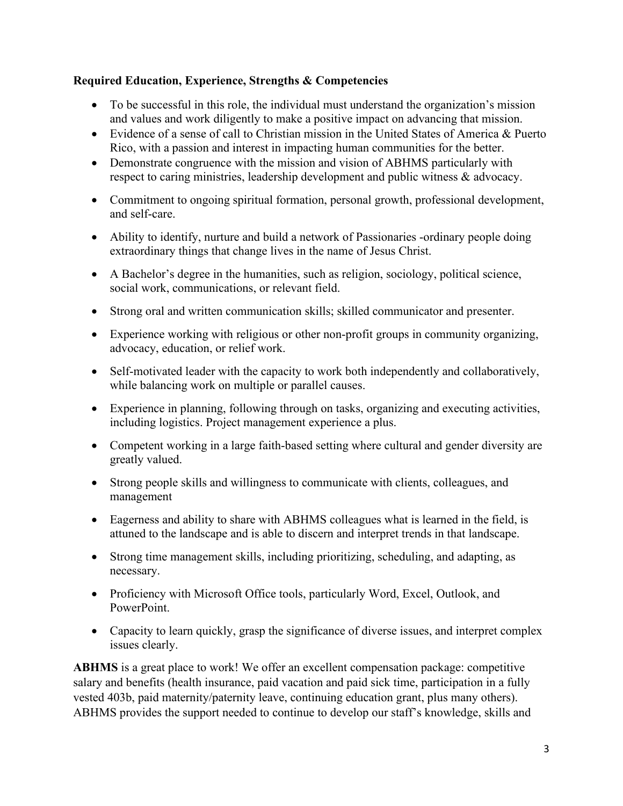## **Required Education, Experience, Strengths & Competencies**

- To be successful in this role, the individual must understand the organization's mission and values and work diligently to make a positive impact on advancing that mission.
- Evidence of a sense of call to Christian mission in the United States of America & Puerto Rico, with a passion and interest in impacting human communities for the better.
- Demonstrate congruence with the mission and vision of ABHMS particularly with respect to caring ministries, leadership development and public witness & advocacy.
- Commitment to ongoing spiritual formation, personal growth, professional development, and self-care.
- Ability to identify, nurture and build a network of Passionaries -ordinary people doing extraordinary things that change lives in the name of Jesus Christ.
- A Bachelor's degree in the humanities, such as religion, sociology, political science, social work, communications, or relevant field.
- Strong oral and written communication skills; skilled communicator and presenter.
- Experience working with religious or other non-profit groups in community organizing, advocacy, education, or relief work.
- Self-motivated leader with the capacity to work both independently and collaboratively, while balancing work on multiple or parallel causes.
- Experience in planning, following through on tasks, organizing and executing activities, including logistics. Project management experience a plus.
- Competent working in a large faith-based setting where cultural and gender diversity are greatly valued.
- Strong people skills and willingness to communicate with clients, colleagues, and management
- Eagerness and ability to share with ABHMS colleagues what is learned in the field, is attuned to the landscape and is able to discern and interpret trends in that landscape.
- Strong time management skills, including prioritizing, scheduling, and adapting, as necessary.
- Proficiency with Microsoft Office tools, particularly Word, Excel, Outlook, and PowerPoint.
- Capacity to learn quickly, grasp the significance of diverse issues, and interpret complex issues clearly.

**ABHMS** is a great place to work! We offer an excellent compensation package: competitive salary and benefits (health insurance, paid vacation and paid sick time, participation in a fully vested 403b, paid maternity/paternity leave, continuing education grant, plus many others). ABHMS provides the support needed to continue to develop our staff's knowledge, skills and